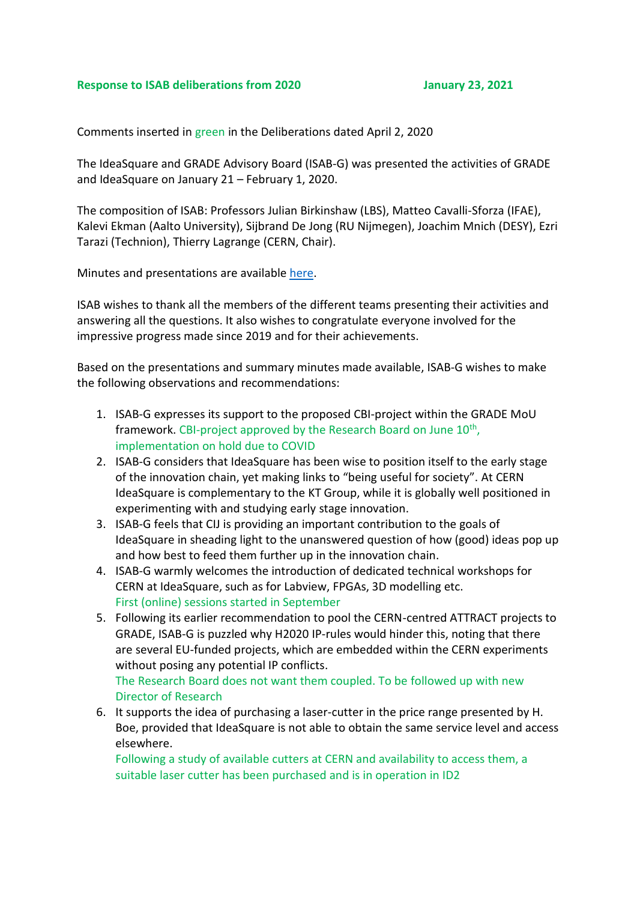## **Response to ISAB deliberations from 2020 January 23, 2021**

Comments inserted in green in the Deliberations dated April 2, 2020

The IdeaSquare and GRADE Advisory Board (ISAB-G) was presented the activities of GRADE and IdeaSquare on January 21 – February 1, 2020.

The composition of ISAB: Professors Julian Birkinshaw (LBS), Matteo Cavalli-Sforza (IFAE), Kalevi Ekman (Aalto University), Sijbrand De Jong (RU Nijmegen), Joachim Mnich (DESY), Ezri Tarazi (Technion), Thierry Lagrange (CERN, Chair).

Minutes and presentations are available [here.](https://indico.cern.ch/event/879969/)

ISAB wishes to thank all the members of the different teams presenting their activities and answering all the questions. It also wishes to congratulate everyone involved for the impressive progress made since 2019 and for their achievements.

Based on the presentations and summary minutes made available, ISAB-G wishes to make the following observations and recommendations:

- 1. ISAB-G expresses its support to the proposed CBI-project within the GRADE MoU framework. CBI-project approved by the Research Board on June 10<sup>th</sup>, implementation on hold due to COVID
- 2. ISAB-G considers that IdeaSquare has been wise to position itself to the early stage of the innovation chain, yet making links to "being useful for society". At CERN IdeaSquare is complementary to the KT Group, while it is globally well positioned in experimenting with and studying early stage innovation.
- 3. ISAB-G feels that CIJ is providing an important contribution to the goals of IdeaSquare in sheading light to the unanswered question of how (good) ideas pop up and how best to feed them further up in the innovation chain.
- 4. ISAB-G warmly welcomes the introduction of dedicated technical workshops for CERN at IdeaSquare, such as for Labview, FPGAs, 3D modelling etc. First (online) sessions started in September
- 5. Following its earlier recommendation to pool the CERN-centred ATTRACT projects to GRADE, ISAB-G is puzzled why H2020 IP-rules would hinder this, noting that there are several EU-funded projects, which are embedded within the CERN experiments without posing any potential IP conflicts.

The Research Board does not want them coupled. To be followed up with new Director of Research

6. It supports the idea of purchasing a laser-cutter in the price range presented by H. Boe, provided that IdeaSquare is not able to obtain the same service level and access elsewhere.

Following a study of available cutters at CERN and availability to access them, a suitable laser cutter has been purchased and is in operation in ID2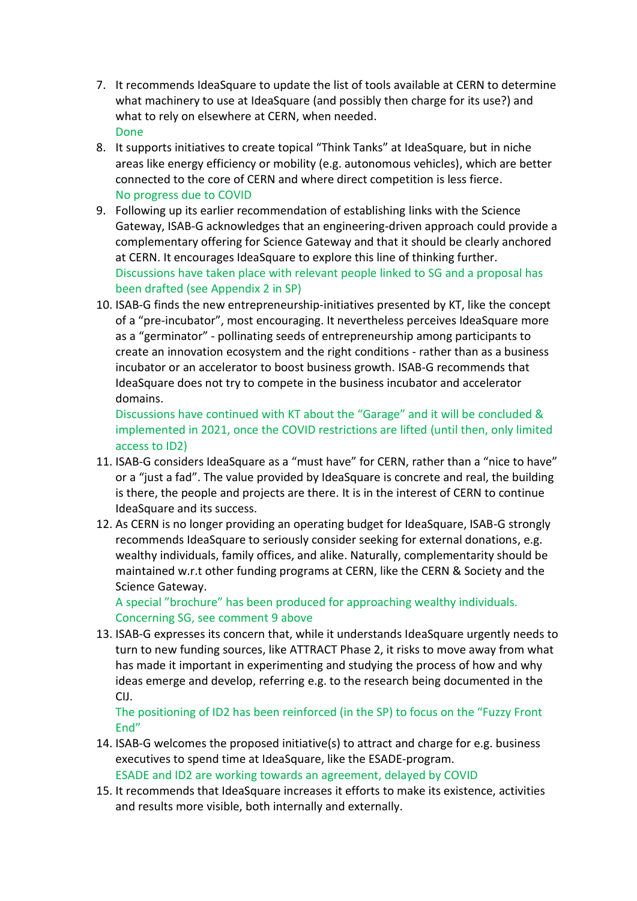- 7. It recommends IdeaSquare to update the list of tools available at CERN to determine what machinery to use at IdeaSquare (and possibly then charge for its use?) and what to rely on elsewhere at CERN, when needed. Done
- 8. It supports initiatives to create topical "Think Tanks" at IdeaSquare, but in niche areas like energy efficiency or mobility (e.g. autonomous vehicles), which are better connected to the core of CERN and where direct competition is less fierce. No progress due to COVID
- 9. Following up its earlier recommendation of establishing links with the Science Gateway, ISAB-G acknowledges that an engineering-driven approach could provide a complementary offering for Science Gateway and that it should be clearly anchored at CERN. It encourages IdeaSquare to explore this line of thinking further. Discussions have taken place with relevant people linked to SG and a proposal has been drafted (see Appendix 2 in SP)
- 10. ISAB-G finds the new entrepreneurship-initiatives presented by KT, like the concept of a "pre-incubator", most encouraging. It nevertheless perceives IdeaSquare more as a "germinator" - pollinating seeds of entrepreneurship among participants to create an innovation ecosystem and the right conditions - rather than as a business incubator or an accelerator to boost business growth. ISAB-G recommends that IdeaSquare does not try to compete in the business incubator and accelerator domains.

Discussions have continued with KT about the "Garage" and it will be concluded & implemented in 2021, once the COVID restrictions are lifted (until then, only limited access to ID2)

- 11. ISAB-G considers IdeaSquare as a "must have" for CERN, rather than a "nice to have" or a "just a fad". The value provided by IdeaSquare is concrete and real, the building is there, the people and projects are there. It is in the interest of CERN to continue IdeaSquare and its success.
- 12. As CERN is no longer providing an operating budget for IdeaSquare, ISAB-G strongly recommends IdeaSquare to seriously consider seeking for external donations, e.g. wealthy individuals, family offices, and alike. Naturally, complementarity should be maintained w.r.t other funding programs at CERN, like the CERN & Society and the Science Gateway.

A special "brochure" has been produced for approaching wealthy individuals. Concerning SG, see comment 9 above

13. ISAB-G expresses its concern that, while it understands IdeaSquare urgently needs to turn to new funding sources, like ATTRACT Phase 2, it risks to move away from what has made it important in experimenting and studying the process of how and why ideas emerge and develop, referring e.g. to the research being documented in the CIJ.

The positioning of ID2 has been reinforced (in the SP) to focus on the "Fuzzy Front End"

- 14. ISAB-G welcomes the proposed initiative(s) to attract and charge for e.g. business executives to spend time at IdeaSquare, like the ESADE-program. ESADE and ID2 are working towards an agreement, delayed by COVID
- 15. It recommends that IdeaSquare increases it efforts to make its existence, activities and results more visible, both internally and externally.